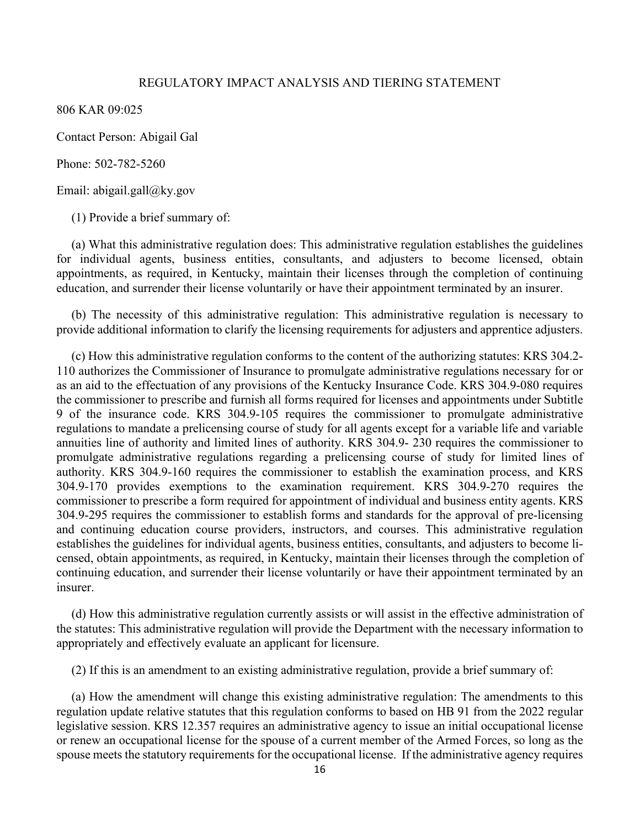## REGULATORY IMPACT ANALYSIS AND TIERING STATEMENT

806 KAR 09:025

Contact Person: Abigail Gal

Phone: 502-782-5260

Email: abigail.gall@ky.gov

(1) Provide a brief summary of:

(a) What this administrative regulation does: This administrative regulation establishes the guidelines for individual agents, business entities, consultants, and adjusters to become licensed, obtain appointments, as required, in Kentucky, maintain their licenses through the completion of continuing education, and surrender their license voluntarily or have their appointment terminated by an insurer.

(b) The necessity of this administrative regulation: This administrative regulation is necessary to provide additional information to clarify the licensing requirements for adjusters and apprentice adjusters.

(c) How this administrative regulation conforms to the content of the authorizing statutes: KRS 304.2- 110 authorizes the Commissioner of Insurance to promulgate administrative regulations necessary for or as an aid to the effectuation of any provisions of the Kentucky Insurance Code. KRS 304.9-080 requires the commissioner to prescribe and furnish all forms required for licenses and appointments under Subtitle 9 of the insurance code. KRS 304.9-105 requires the commissioner to promulgate administrative regulations to mandate a prelicensing course of study for all agents except for a variable life and variable annuities line of authority and limited lines of authority. KRS 304.9- 230 requires the commissioner to promulgate administrative regulations regarding a prelicensing course of study for limited lines of authority. KRS 304.9-160 requires the commissioner to establish the examination process, and KRS 304.9-170 provides exemptions to the examination requirement. KRS 304.9-270 requires the commissioner to prescribe a form required for appointment of individual and business entity agents. KRS 304.9-295 requires the commissioner to establish forms and standards for the approval of pre-licensing and continuing education course providers, instructors, and courses. This administrative regulation establishes the guidelines for individual agents, business entities, consultants, and adjusters to become licensed, obtain appointments, as required, in Kentucky, maintain their licenses through the completion of continuing education, and surrender their license voluntarily or have their appointment terminated by an insurer.

(d) How this administrative regulation currently assists or will assist in the effective administration of the statutes: This administrative regulation will provide the Department with the necessary information to appropriately and effectively evaluate an applicant for licensure.

(2) If this is an amendment to an existing administrative regulation, provide a brief summary of:

(a) How the amendment will change this existing administrative regulation: The amendments to this regulation update relative statutes that this regulation conforms to based on HB 91 from the 2022 regular legislative session. KRS 12.357 requires an administrative agency to issue an initial occupational license or renew an occupational license for the spouse of a current member of the Armed Forces, so long as the spouse meets the statutory requirements for the occupational license. If the administrative agency requires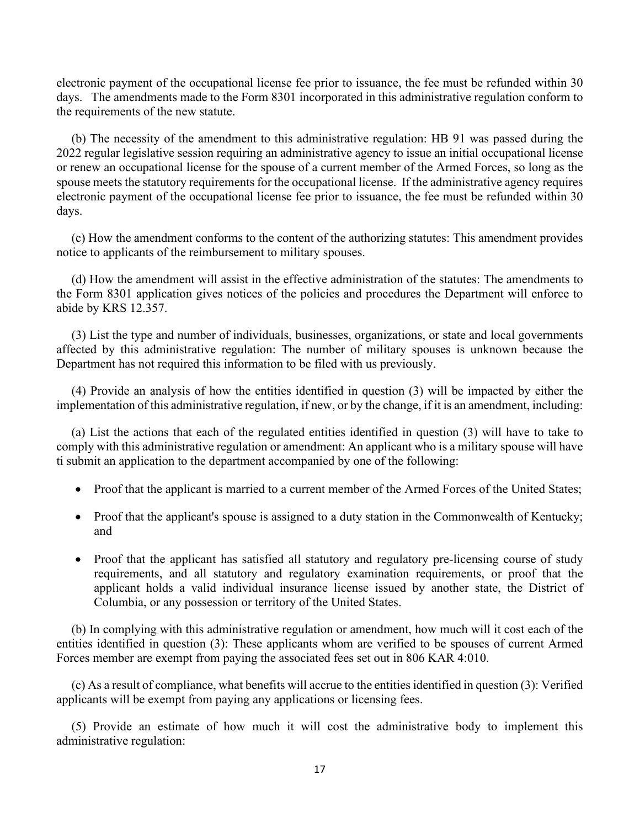electronic payment of the occupational license fee prior to issuance, the fee must be refunded within 30 days. The amendments made to the Form 8301 incorporated in this administrative regulation conform to the requirements of the new statute.

(b) The necessity of the amendment to this administrative regulation: HB 91 was passed during the 2022 regular legislative session requiring an administrative agency to issue an initial occupational license or renew an occupational license for the spouse of a current member of the Armed Forces, so long as the spouse meets the statutory requirements for the occupational license. If the administrative agency requires electronic payment of the occupational license fee prior to issuance, the fee must be refunded within 30 days.

(c) How the amendment conforms to the content of the authorizing statutes: This amendment provides notice to applicants of the reimbursement to military spouses.

(d) How the amendment will assist in the effective administration of the statutes: The amendments to the Form 8301 application gives notices of the policies and procedures the Department will enforce to abide by KRS 12.357.

(3) List the type and number of individuals, businesses, organizations, or state and local governments affected by this administrative regulation: The number of military spouses is unknown because the Department has not required this information to be filed with us previously.

(4) Provide an analysis of how the entities identified in question (3) will be impacted by either the implementation of this administrative regulation, if new, or by the change, if it is an amendment, including:

(a) List the actions that each of the regulated entities identified in question (3) will have to take to comply with this administrative regulation or amendment: An applicant who is a military spouse will have ti submit an application to the department accompanied by one of the following:

- Proof that the applicant is married to a current member of the Armed Forces of the United States;
- Proof that the applicant's spouse is assigned to a duty station in the Commonwealth of Kentucky; and
- Proof that the applicant has satisfied all statutory and regulatory pre-licensing course of study requirements, and all statutory and regulatory examination requirements, or proof that the applicant holds a valid individual insurance license issued by another state, the District of Columbia, or any possession or territory of the United States.

(b) In complying with this administrative regulation or amendment, how much will it cost each of the entities identified in question (3): These applicants whom are verified to be spouses of current Armed Forces member are exempt from paying the associated fees set out in 806 KAR 4:010.

(c) As a result of compliance, what benefits will accrue to the entities identified in question (3): Verified applicants will be exempt from paying any applications or licensing fees.

(5) Provide an estimate of how much it will cost the administrative body to implement this administrative regulation: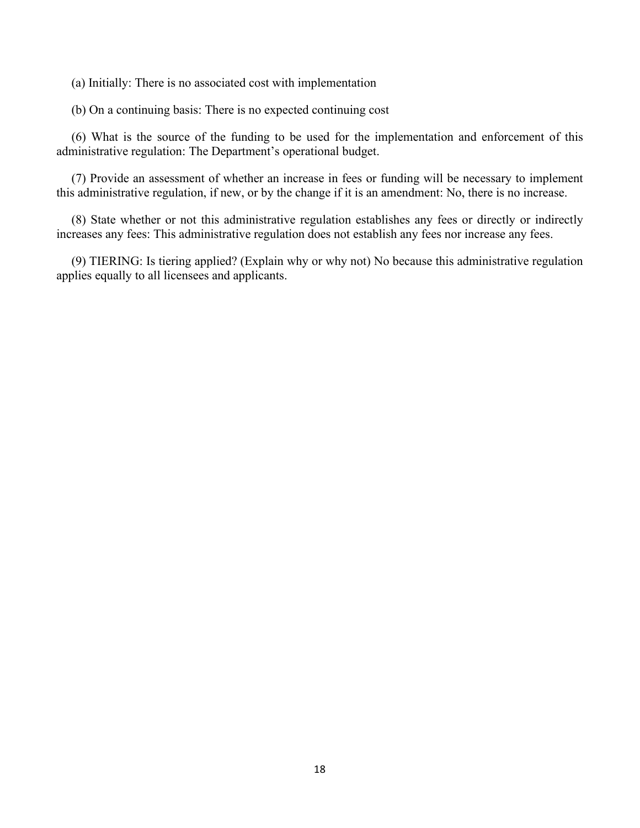(a) Initially: There is no associated cost with implementation

(b) On a continuing basis: There is no expected continuing cost

(6) What is the source of the funding to be used for the implementation and enforcement of this administrative regulation: The Department's operational budget.

(7) Provide an assessment of whether an increase in fees or funding will be necessary to implement this administrative regulation, if new, or by the change if it is an amendment: No, there is no increase.

(8) State whether or not this administrative regulation establishes any fees or directly or indirectly increases any fees: This administrative regulation does not establish any fees nor increase any fees.

(9) TIERING: Is tiering applied? (Explain why or why not) No because this administrative regulation applies equally to all licensees and applicants.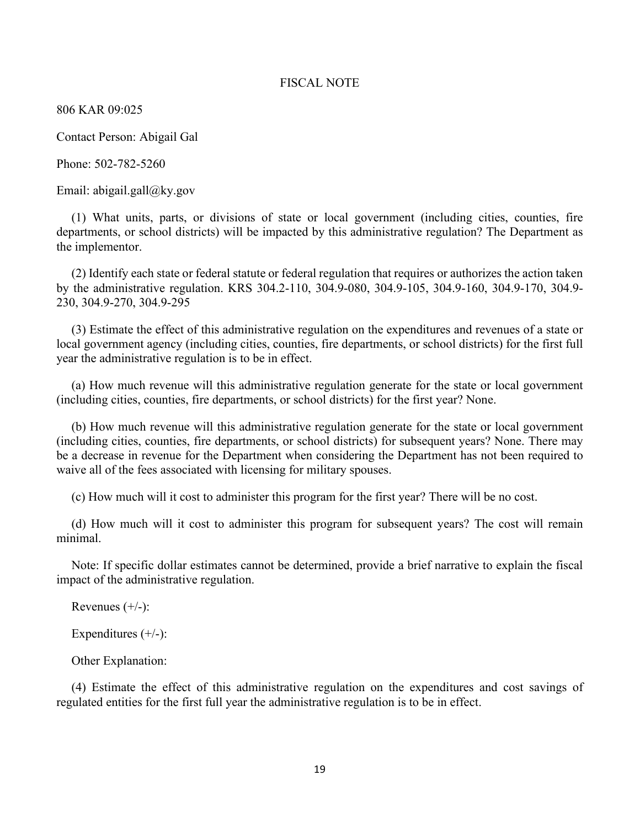## FISCAL NOTE

806 KAR 09:025

Contact Person: Abigail Gal

Phone: 502-782-5260

Email: abigail.gall@ky.gov

(1) What units, parts, or divisions of state or local government (including cities, counties, fire departments, or school districts) will be impacted by this administrative regulation? The Department as the implementor.

(2) Identify each state or federal statute or federal regulation that requires or authorizes the action taken by the administrative regulation. KRS 304.2-110, 304.9-080, 304.9-105, 304.9-160, 304.9-170, 304.9- 230, 304.9-270, 304.9-295

(3) Estimate the effect of this administrative regulation on the expenditures and revenues of a state or local government agency (including cities, counties, fire departments, or school districts) for the first full year the administrative regulation is to be in effect.

(a) How much revenue will this administrative regulation generate for the state or local government (including cities, counties, fire departments, or school districts) for the first year? None.

(b) How much revenue will this administrative regulation generate for the state or local government (including cities, counties, fire departments, or school districts) for subsequent years? None. There may be a decrease in revenue for the Department when considering the Department has not been required to waive all of the fees associated with licensing for military spouses.

(c) How much will it cost to administer this program for the first year? There will be no cost.

(d) How much will it cost to administer this program for subsequent years? The cost will remain minimal.

Note: If specific dollar estimates cannot be determined, provide a brief narrative to explain the fiscal impact of the administrative regulation.

Revenues  $(+/-)$ :

Expenditures  $(+/-)$ :

Other Explanation:

(4) Estimate the effect of this administrative regulation on the expenditures and cost savings of regulated entities for the first full year the administrative regulation is to be in effect.